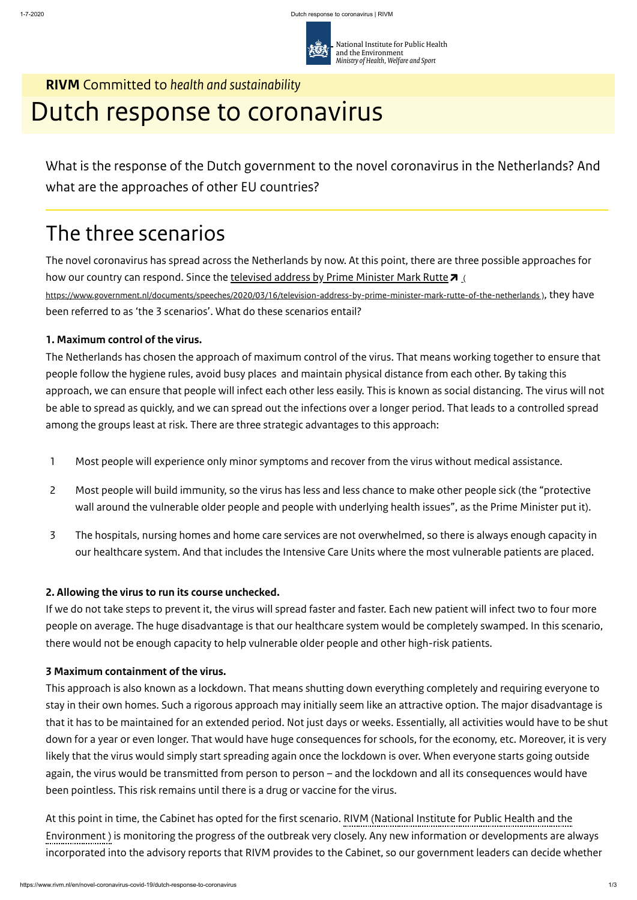

# **RIVM** Committed to *health and sustainability* Dutch response to coronavirus

National Institute for Public Health and the Environment *Ministry of Health, Welfare and Sport*

What is the response of the Dutch government to the novel coronavirus in the Netherlands? And what are the approaches of other EU countries?

# The three scenarios

The novel coronavirus has spread across the Netherlands by now. At this point, there are three possible approaches for how our country can respond. Since the <u>televised address by Prime Minister Mark Rutte</u> **A** <u>(</u> <https://www.government.nl/documents/speeches/2020/03/16/television-address-by-prime-minister-mark-rutte-of-the-netherlands> ), they have been referred to as 'the 3 scenarios'. What do these scenarios entail?

### **1. Maximum control of the virus.**

The Netherlands has chosen the approach of maximum control of the virus. That means working together to ensure that people follow the hygiene rules, avoid busy places and maintain physical distance from each other. By taking this approach, we can ensure that people will infect each other less easily. This is known as social distancing. The virus will not be able to spread as quickly, and we can spread out the infections over a longer period. That leads to a controlled spread among the groups least at risk. There are three strategic advantages to this approach:

#### **2. Allowing the virus to run its course unchecked.**

If we do not take steps to prevent it, the virus will spread faster and faster. Each new patient will infect two to four more people on average. The huge disadvantage is that our healthcare system would be completely swamped. In this scenario, there would not be enough capacity to help vulnerable older people and other high-risk patients.

#### **3 Maximum containment of the virus.**

This approach is also known as a lockdown. That means shutting down everything completely and requiring everyone to stay in their own homes. Such a rigorous approach may initially seem like an attractive option. The major disadvantage is that it has to be maintained for an extended period. Not just days or weeks. Essentially, all activities would have to be shut down for a year or even longer. That would have huge consequences for schools, for the economy, etc. Moreover, it is very likely that the virus would simply start spreading again once the lockdown is over. When everyone starts going outside again, the virus would be transmitted from person to person – and the lockdown and all its consequences would have been pointless. This risk remains until there is a drug or vaccine for the virus.

At this point in time, the Cabinet has opted for the first scenario. RIVM (National Institute for Public Health and the Environment ) is monitoring the progress of the outbreak very closely. Any new information or developments are always incorporated into the advisory reports that RIVM provides to the Cabinet, so our government leaders can decide whether

- 1 Most people will experience only minor symptoms and recover from the virus without medical assistance.
- Most people will build immunity, so the virus has less and less chance to make other people sick (the "protective wall around the vulnerable older people and people with underlying health issues", as the Prime Minister put it). 2
- The hospitals, nursing homes and home care services are not overwhelmed, so there is always enough capacity in our healthcare system. And that includes the Intensive Care Units where the most vulnerable patients are placed. 3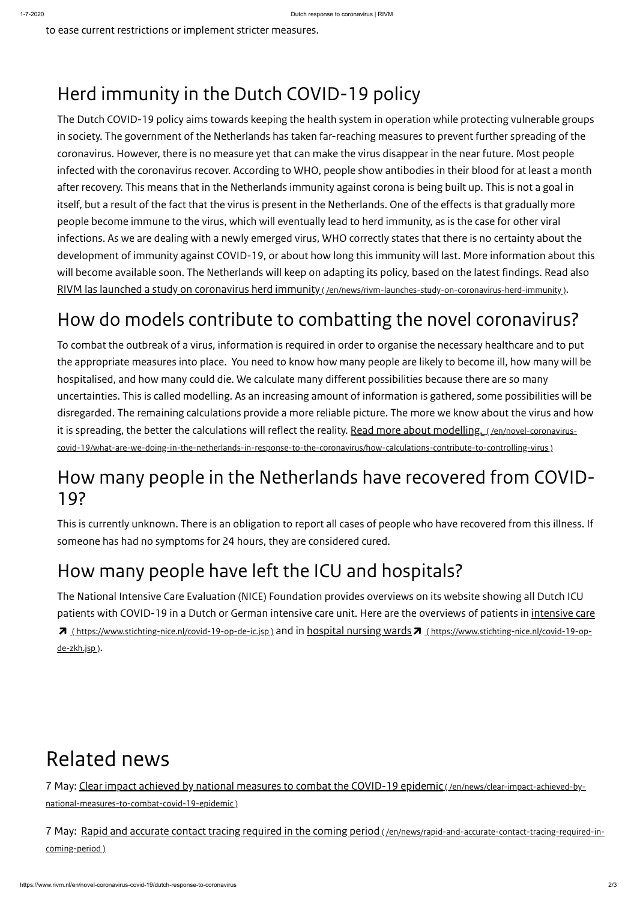to ease current restrictions or implement stricter measures.

## Herd immunity in the Dutch COVID-19 policy

The Dutch COVID-19 policy aims towards keeping the health system in operation while protecting vulnerable groups in society. The government of the Netherlands has taken far-reaching measures to prevent further spreading of the coronavirus. However, there is no measure yet that can make the virus disappear in the near future. Most people infected with the coronavirus recover. According to WHO, people show antibodies in their blood for at least a month after recovery. This means that in the Netherlands immunity against corona is being built up. This is not a goal in itself, but a result of the fact that the virus is present in the Netherlands. One of the effects is that gradually more people become immune to the virus, which will eventually lead to herd immunity, as is the case for other viral infections. As we are dealing with a newly emerged virus, WHO correctly states that there is no certainty about the development of immunity against COVID-19, or about how long this immunity will last. More information about this will become available soon. The Netherlands will keep on adapting its policy, based on the latest findings. Read also RIVM las launched a study on coronavirus herd immunity ( [/en/news/rivm-launches-study-on-coronavirus-herd-immunity](https://www.rivm.nl/en/news/rivm-launches-study-on-coronavirus-herd-immunity) ).

The National Intensive Care Evaluation (NICE) Foundation provides overviews on its website showing all Dutch ICU patients with COVID-19 in a Dutch or German intensive care unit. Here are the overviews of patients in intensive care 7 (<https://www.stichting-nice.nl/covid-19-op-de-ic.jsp>) and in hospital nursing wards 7 (https://www.stichting-nice.nl/covid-19-opde-zkh.jsp).

## How do models contribute to combatting the novel coronavirus?

To combat the outbreak of a virus, information is required in order to organise the necessary healthcare and to put the appropriate measures into place. You need to know how many people are likely to become ill, how many will be hospitalised, and how many could die. We calculate many different possibilities because there are so many uncertainties. This is called modelling. As an increasing amount of information is gathered, some possibilities will be disregarded. The remaining calculations provide a more reliable picture. The more we know about the virus and how it is spreading, the better the calculations will reflect the reality. Read more about modelling. (/en/novel-coronavirus[covid-19/what-are-we-doing-in-the-netherlands-in-response-to-the-coronavirus/how-calculations-contribute-to-controlling-virus](https://www.rivm.nl/en/novel-coronavirus-covid-19/what-are-we-doing-in-the-netherlands-in-response-to-the-coronavirus/how-calculations-contribute-to-controlling-virus) )

### How many people in the Netherlands have recovered from COVID-19?

This is currently unknown. There is an obligation to report all cases of people who have recovered from this illness. If someone has had no symptoms for 24 hours, they are considered cured.

## How many people have left the ICU and hospitals?

# Related news

7 May: Clear impact achieved by national measures to combat the COVID-19 epidemic ( /en/news/clear-impact-achieved-by-

[national-measures-to-combat-covid-19-epidemic](https://www.rivm.nl/en/news/clear-impact-achieved-by-national-measures-to-combat-covid-19-epidemic) )

7 May: Rapid and accurate contact tracing required in the coming period ( [/en/news/rapid-and-accurate-contact-tracing-required-in](https://www.rivm.nl/en/news/rapid-and-accurate-contact-tracing-required-in-coming-period)coming-period )